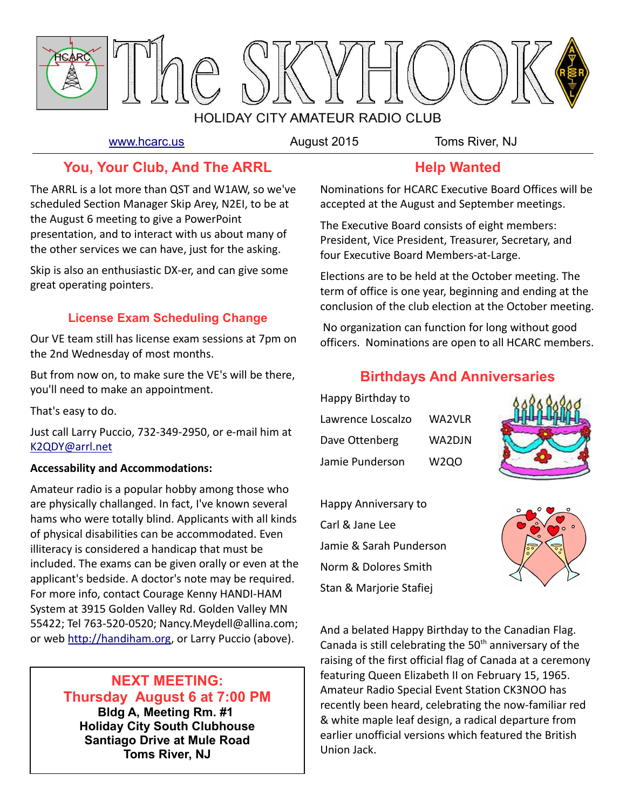

[www.hcarc.us](http://www.hcarc.us/) **August 2015** Toms River, NJ

### **You, Your Club, And The ARRL**

The ARRL is a lot more than QST and W1AW, so we've scheduled Section Manager Skip Arey, N2EI, to be at the August 6 meeting to give a PowerPoint presentation, and to interact with us about many of the other services we can have, just for the asking.

Skip is also an enthusiastic DX-er, and can give some great operating pointers.

#### **License Exam Scheduling Change**

Our VE team still has license exam sessions at 7pm on the 2nd Wednesday of most months.

But from now on, to make sure the VE's will be there, you'll need to make an appointment.

That's easy to do.

Just call Larry Puccio, 732-349-2950, or e-mail him at [K2QDY@arrl.net](mailto:K2QDY@arrl.net)

#### **Accessability and Accommodations:**

Amateur radio is a popular hobby among those who are physically challanged. In fact, I've known several hams who were totally blind. Applicants with all kinds of physical disabilities can be accommodated. Even illiteracy is considered a handicap that must be included. The exams can be given orally or even at the applicant's bedside. A doctor's note may be required. For more info, contact Courage Kenny HANDI-HAM System at 3915 Golden Valley Rd. Golden Valley MN 55422; Tel 763-520-0520; Nancy.Meydell@allina.com; or web [http://handiham.org,](http://handiham.org/) or Larry Puccio (above).

#### **NEXT MEETING: Thursday August 6 at 7:00 PM Bldg A, Meeting Rm. #1 Holiday City South Clubhouse**

**Santiago Drive at Mule Road Toms River, NJ**

# **Help Wanted**

Nominations for HCARC Executive Board Offices will be accepted at the August and September meetings.

The Executive Board consists of eight members: President, Vice President, Treasurer, Secretary, and four Executive Board Members-at-Large.

Elections are to be held at the October meeting. The term of office is one year, beginning and ending at the conclusion of the club election at the October meeting.

 No organization can function for long without good officers. Nominations are open to all HCARC members.

#### **Birthdays And Anniversaries**

| Happy Birthday to |        |
|-------------------|--------|
| Lawrence Loscalzo | WA2VLR |
| Dave Ottenberg    | WA2DJN |
| Jamie Punderson   | W2QO   |



Happy Anniversary to Carl & Jane Lee Jamie & Sarah Punderson Norm & Dolores Smith Stan & Marjorie Stafiej



And a belated Happy Birthday to the Canadian Flag. Canada is still celebrating the  $50<sup>th</sup>$  anniversary of the raising of the first official flag of Canada at a ceremony featuring Queen Elizabeth II on February 15, 1965. Amateur Radio Special Event Station CK3NOO has recently been heard, celebrating the now-familiar red & white maple leaf design, a radical departure from earlier unofficial versions which featured the British Union Jack.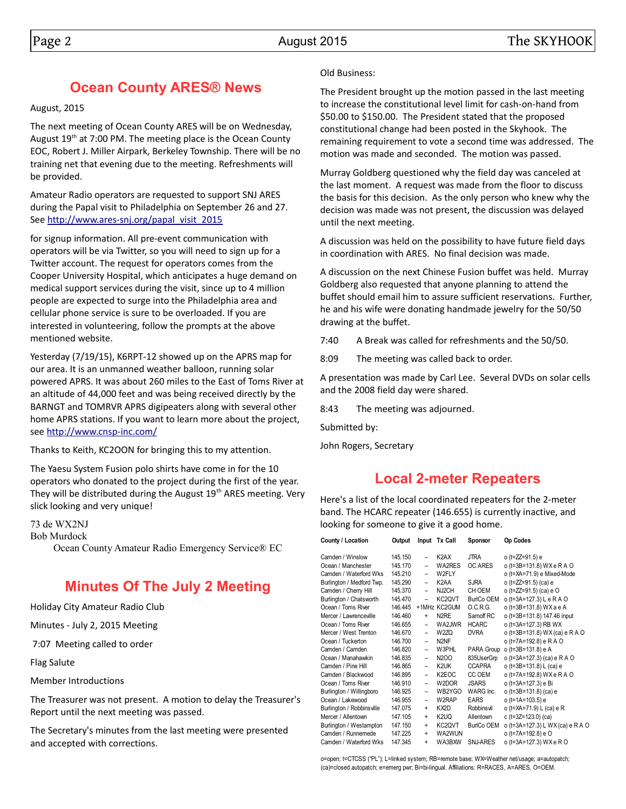# **Ocean County ARES® News**

August, 2015

The next meeting of Ocean County ARES will be on Wednesday, August 19<sup>th</sup> at 7:00 PM. The meeting place is the Ocean County EOC, Robert J. Miller Airpark, Berkeley Township. There will be no training net that evening due to the meeting. Refreshments will be provided.

Amateur Radio operators are requested to support SNJ ARES during the Papal visit to Philadelphia on September 26 and 27. See [http://www.ares-snj.org/papal\\_visit\\_2015](http://www.ares-snj.org/papal_visit_2015)

for signup information. All pre-event communication with operators will be via Twitter, so you will need to sign up for a Twitter account. The request for operators comes from the Cooper University Hospital, which anticipates a huge demand on medical support services during the visit, since up to 4 million people are expected to surge into the Philadelphia area and cellular phone service is sure to be overloaded. If you are interested in volunteering, follow the prompts at the above mentioned website.

Yesterday (7/19/15), K6RPT-12 showed up on the APRS map for our area. It is an unmanned weather balloon, running solar powered APRS. It was about 260 miles to the East of Toms River at an altitude of 44,000 feet and was being received directly by the BARNGT and TOMRVR APRS digipeaters along with several other home APRS stations. If you want to learn more about the project, see<http://www.cnsp-inc.com/>

Thanks to Keith, KC2OON for bringing this to my attention.

The Yaesu System Fusion polo shirts have come in for the 10 operators who donated to the project during the first of the year. They will be distributed during the August 19<sup>th</sup> ARES meeting. Very slick looking and very unique!

73 de WX2NJ

Bob Murdock

Ocean County Amateur Radio Emergency Service® EC

# **Minutes Of The July 2 Meeting**

Holiday City Amateur Radio Club

Minutes - July 2, 2015 Meeting

7:07 Meeting called to order

Flag Salute

Member Introductions

The Treasurer was not present. A motion to delay the Treasurer's Report until the next meeting was passed.

The Secretary's minutes from the last meeting were presented and accepted with corrections.

#### Old Business:

The President brought up the motion passed in the last meeting to increase the constitutional level limit for cash-on-hand from \$50.00 to \$150.00. The President stated that the proposed constitutional change had been posted in the Skyhook. The remaining requirement to vote a second time was addressed. The motion was made and seconded. The motion was passed.

Murray Goldberg questioned why the field day was canceled at the last moment. A request was made from the floor to discuss the basis for this decision. As the only person who knew why the decision was made was not present, the discussion was delayed until the next meeting.

A discussion was held on the possibility to have future field days in coordination with ARES. No final decision was made.

A discussion on the next Chinese Fusion buffet was held. Murray Goldberg also requested that anyone planning to attend the buffet should email him to assure sufficient reservations. Further, he and his wife were donating handmade jewelry for the 50/50 drawing at the buffet.

7:40 A Break was called for refreshments and the 50/50.

8:09 The meeting was called back to order.

A presentation was made by Carl Lee. Several DVDs on solar cells and the 2008 field day were shared.

8:43 The meeting was adjourned.

Submitted by:

John Rogers, Secretary

#### **Local 2-meter Repeaters**

Here's a list of the local coordinated repeaters for the 2-meter band. The HCARC repeater (146.655) is currently inactive, and looking for someone to give it a good home.

| County / Location         | Output  |                          | Input Tx Call                 | Sponsor           | Op Codes                         |
|---------------------------|---------|--------------------------|-------------------------------|-------------------|----------------------------------|
| Camden / Winslow          | 145.150 | $\overline{\phantom{0}}$ | K <sub>2</sub> AX             | <b>JTRA</b>       | o (t=ZZ=91.5) e                  |
| Ocean / Manchester        | 145.170 | $\equiv$                 | WA2RES                        | OC ARES           | o (t=3B=131.8) WXeRAO            |
| Camden / Waterford Wks    | 145.210 |                          | W2FLY                         |                   | o (t=XA=71.9) e Mixed-Mode       |
| Burlington / Medford Twp. | 145.290 | $\qquad \qquad -$        | K <sub>2</sub> AA             | <b>SJRA</b>       | o (t=ZZ=91.5) (ca) e             |
| Camden / Cherry Hill      | 145.370 | $\overline{\phantom{0}}$ | NJ2CH                         | CH OEM            | o (t=ZZ=91.5) (ca) e O           |
| Burlington / Chatsworth   | 145.470 | $\overline{\phantom{0}}$ | KC2QVT                        | BurlCo OEM        | o (t=3A=127.3) L e R A O         |
| Ocean / Toms River        | 146.445 |                          | +1MHz KC2GUM                  | 0.C.R.G.          | o (t=3B=131.8) WX a e A          |
| Mercer / Lawrenceville    | 146.460 | $\ddot{}$                | N <sub>2</sub> RE             | Sarnoff RC        | o (t=3B=131.8) 147.46 input      |
| Ocean / Toms River        | 146.655 | $\overline{a}$           | WA2JWR                        | <b>HCARC</b>      | o (t=3A=127.3) RB WX             |
| Mercer / West Trenton     | 146.670 | $\overline{\phantom{0}}$ | W <sub>2</sub> ZQ             | <b>DVRA</b>       | o (t=3B=131.8) WX (ca) e R A O   |
| Ocean / Tuckerton         | 146.700 | $\overline{\phantom{0}}$ | N <sub>2NF</sub>              |                   | o (t=7A=192.8) e R A O           |
| Camden / Camden           | 146.820 | $\overline{\phantom{0}}$ | W3PHL                         | PARA Group        | o (t=3B=131.8) e A               |
| Ocean / Manahawkin        | 146.835 | $\overline{\phantom{0}}$ | N <sub>2</sub> O <sub>O</sub> | 835UserGrp        | o (t=3A=127.3) (ca) e R A O      |
| Camden / Pine Hill        | 146.865 | $\overline{\phantom{0}}$ | K <sub>2</sub> UK             | <b>CCAPRA</b>     | o (t=3B=131.8) L (ca) e          |
| Camden / Blackwood        | 146.895 | $\overline{\phantom{0}}$ | K2EOC                         | CC OEM            | o (t=7A=192.8) WXeRAO            |
| Ocean / Toms River        | 146.910 | $\overline{\phantom{0}}$ | W2DOR                         | <b>JSARS</b>      | o (t=3A=127.3) e Bi              |
| Burlington / Willingboro  | 146.925 | $\overline{\phantom{0}}$ | WB2YGO                        | WARG Inc.         | o ( $t=3B=131.8$ ) (ca) e        |
| Ocean / Lakewood          | 146.955 | $\overline{\phantom{0}}$ | W2RAP                         | <b>EARS</b>       | o (t=1A=103.5) e                 |
| Burlington / Robbinsville | 147.075 | $\ddot{}$                | KX2D                          | Robbinsvil        | o (t=XA=71.9) L (ca) e R         |
| Mercer / Allentown        | 147.105 | $+$                      | K <sub>2</sub> UQ             | Allentown         | c $(t=3Z=123.0)$ (ca)            |
| Burlington / Westampton   | 147.150 | $+$                      | KC2QVT                        | <b>BurlCo OEM</b> | o (t=3A=127.3) L WX (ca) e R A O |
| Camden / Runnemede        | 147.225 | $+$                      | WA2WUN                        |                   | o (t=7A=192.8) e O               |
| Camden / Waterford Wks    | 147.345 | $+$                      | WA3BXW                        | <b>SNJ-ARES</b>   | o (t=3A=127.3) WX e R O          |

o=open; t=CTCSS ("PL"); L=linked system; RB=remote base; WX=Weather net/usage; a=autopatch; (ca)=closed autopatch; e=emerg pwr; Bi=bi-lingual. Affiliations: R=RACES, A=ARES, O=OEM.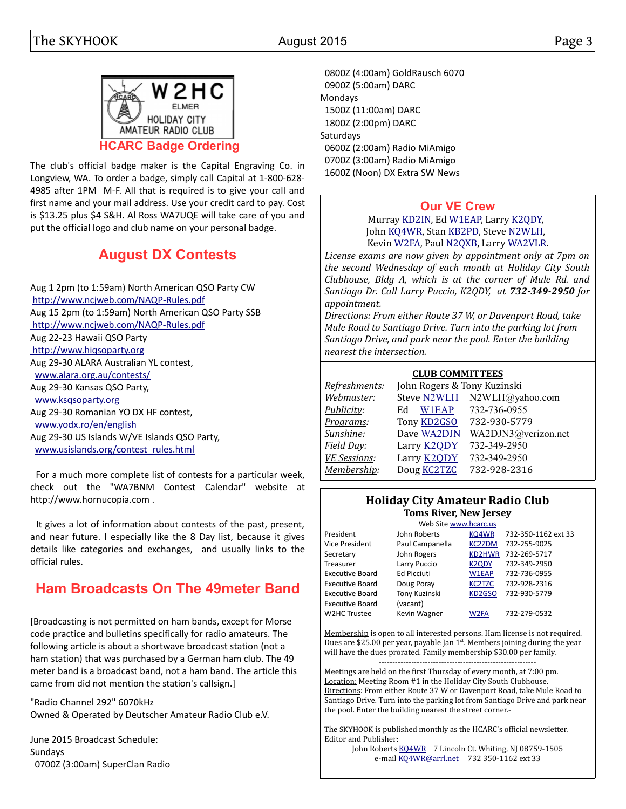



The club's official badge maker is the Capital Engraving Co. in Longview, WA. To order a badge, simply call Capital at 1-800-628- 4985 after 1PM M-F. All that is required is to give your call and first name and your mail address. Use your credit card to pay. Cost is \$13.25 plus \$4 S&H. Al Ross WA7UQE will take care of you and put the official logo and club name on your personal badge.

# **August DX Contests**

 For a much more complete list of contests for a particular week, check out the "WA7BNM Contest Calendar" website at http://www.hornucopia.com .

 It gives a lot of information about contests of the past, present, and near future. I especially like the 8 Day list, because it gives details like categories and exchanges, and usually links to the official rules.

# **Ham Broadcasts On The 49meter Band**

[Broadcasting is not permitted on ham bands, except for Morse code practice and bulletins specifically for radio amateurs. The following article is about a shortwave broadcast station (not a ham station) that was purchased by a German ham club. The 49 meter band is a broadcast band, not a ham band. The article this came from did not mention the station's callsign.]

"Radio Channel 292" 6070kHz Owned & Operated by Deutscher Amateur Radio Club e.V.

June 2015 Broadcast Schedule: Sundays 0700Z (3:00am) SuperClan Radio

 0800Z (4:00am) GoldRausch 6070 0900Z (5:00am) DARC Mondays 1500Z (11:00am) DARC 1800Z (2:00pm) DARC Saturdays 0600Z (2:00am) Radio MiAmigo 0700Z (3:00am) Radio MiAmigo 1600Z (Noon) DX Extra SW News

#### **[Our VE Crew](mailto:lpuccio1@comcast.net?subject=VE)**

Murray [KD2IN,](mailto:MurrayKD2IN@comcast.net) Ed [W1EAP,](mailto:epicciuti@hotmail.com) Larry [K2QDY,](mailto:lpuccio1@comcast.net) John [KQ4WR,](mailto:kq4wr@arrl.net) Stan [KB2PD,](mailto:kn1rgy@gmail.com) Steve [N2WLH,](mailto:n2wlh@yahoo.com) Kevin [W2FA,](mailto:w2fa.kgw@gmail.com) Paul [N2QXB,](mailto:N2QXB@hotmail.com) Larry [WA2VLR.](mailto:lloscalz@optonline.net)

*License exams are now given by appointment only at 7pm on the second Wednesday of each month at Holiday City South Clubhouse, Bldg A, which is at the corner of Mule Rd. and Santiago Dr. Call Larry Puccio, K2QDY, at 732-349-2950 for appointment.* 

*Directions: From either Route 37 W, or Davenport Road, take Mule Road to Santiago Drive. Turn into the parking lot from Santiago Drive, and park near the pool. Enter the building nearest the intersection.*

#### **CLUB COMMITTEES**

| Refreshments:       | John Rogers & Tony Kuzinski |                             |  |  |  |  |  |
|---------------------|-----------------------------|-----------------------------|--|--|--|--|--|
| Webmaster:          |                             | Steve N2WLH N2WLH@yahoo.com |  |  |  |  |  |
| Publicity:          | W1EAP<br>Ed                 | 732-736-0955                |  |  |  |  |  |
| Programs:           | Tony <b>KD2GSO</b>          | 732-930-5779                |  |  |  |  |  |
| Sunshine:           | Dave WA2DJN                 | WA2DJN3@verizon.net         |  |  |  |  |  |
| Field Day:          | Larry <b>K2ODY</b>          | 732-349-2950                |  |  |  |  |  |
| <b>VE Sessions:</b> | Larry <b>K2QDY</b>          | 732-349-2950                |  |  |  |  |  |
| Membership:         | Doug <b>KC2TZC</b>          | 732-928-2316                |  |  |  |  |  |
|                     |                             |                             |  |  |  |  |  |

#### **Holiday City Amateur Radio Club Toms River, New Jersey**

|                        | Web Site www.hcarc.us |               |                     |
|------------------------|-----------------------|---------------|---------------------|
| President              | John Roberts          | KQ4WR         | 732-350-1162 ext 33 |
| Vice President         | Paul Campanella       | <b>KC2ZDM</b> | 732-255-9025        |
| Secretary              | John Rogers           | <b>KD2HWR</b> | 732-269-5717        |
| Treasurer              | Larry Puccio          | <b>K2QDY</b>  | 732-349-2950        |
| <b>Executive Board</b> | <b>Ed Picciuti</b>    | W1EAP         | 732-736-0955        |
| <b>Executive Board</b> | Doug Poray            | <b>KC2TZC</b> | 732-928-2316        |
| <b>Executive Board</b> | Tony Kuzinski         | KD2GSO        | 732-930-5779        |
| <b>Executive Board</b> | (vacant)              |               |                     |
| W2HC Trustee           | Kevin Wagner          | W2FA          | 732-279-0532        |

Membership is open to all interested persons. Ham license is not required. Dues are \$25.00 per year, payable Jan  $1<sup>st</sup>$ . Members joining during the year will have the dues prorated. Family membership \$30.00 per family.

---------------------------------------------------------- Meetings are held on the first Thursday of every month, at 7:00 pm. Location: Meeting Room #1 in the Holiday City South Clubhouse. Directions: From either Route 37 W or Davenport Road, take Mule Road to Santiago Drive. Turn into the parking lot from Santiago Drive and park near the pool. Enter the building nearest the street corner.-

The SKYHOOK is published monthly as the HCARC's official newsletter. Editor and Publisher:

John Roberts [KQ4WR](mailto:kq4wr@arrl.net) 7 Lincoln Ct. Whiting, NJ 08759-1505 e-mail [KQ4WR@arrl.net](mailto:KQ4WR@arrl.net) 732 350-1162 ext 33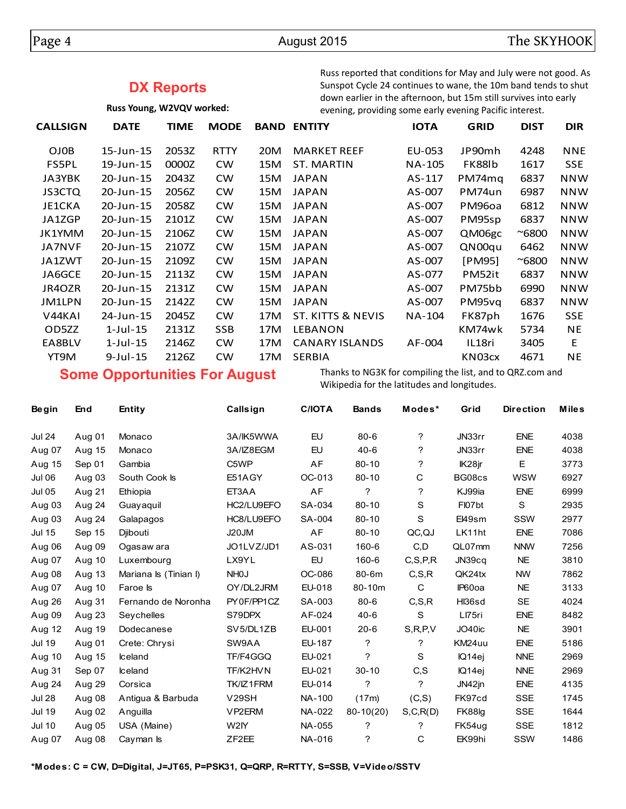#### **DX Reports**

**Russ Young, W2VQV worked:**

Russ reported that conditions for May and July were not good. As Sunspot Cycle 24 continues to wane, the 10m band tends to shut down earlier in the afternoon, but 15m still survives into early evening, providing some early evening Pacific interest.

| <b>CALLSIGN</b>     | <b>DATE</b>    | TIME  | <b>MODE</b> | <b>BAND</b> | <b>ENTITY</b>         | <b>IOTA</b> | <b>GRID</b> | <b>DIST</b>   | <b>DIR</b> |
|---------------------|----------------|-------|-------------|-------------|-----------------------|-------------|-------------|---------------|------------|
| OJ0B                | 15-Jun-15      | 2053Z | <b>RTTY</b> | 20M         | <b>MARKET REEF</b>    | EU-053      | JP90mh      | 4248          | <b>NNE</b> |
| FS5PL               | 19-Jun-15      | 0000Z | <b>CW</b>   | 15M         | ST. MARTIN            | NA-105      | FK88lb      | 1617          | <b>SSE</b> |
| JA3YBK              | 20-Jun-15      | 2043Z | <b>CW</b>   | 15M         | <b>JAPAN</b>          | AS-117      | PM74mg      | 6837          | <b>NNW</b> |
| <b>JS3CTQ</b>       | 20-Jun-15      | 2056Z | <b>CW</b>   | 15M         | <b>JAPAN</b>          | AS-007      | PM74un      | 6987          | <b>NNW</b> |
| JE1CKA              | 20-Jun-15      | 2058Z | <b>CW</b>   | 15M         | <b>JAPAN</b>          | AS-007      | PM96oa      | 6812          | <b>NNW</b> |
| JA1ZGP              | 20-Jun-15      | 2101Z | <b>CW</b>   | 15M         | <b>JAPAN</b>          | AS-007      | PM95sp      | 6837          | <b>NNW</b> |
| JK1YMM              | 20-Jun-15      | 2106Z | <b>CW</b>   | 15M         | <b>JAPAN</b>          | AS-007      | QM06gc      | $~\sim$ 6800  | <b>NNW</b> |
| <b>JA7NVF</b>       | 20-Jun-15      | 2107Z | <b>CW</b>   | 15M         | <b>JAPAN</b>          | AS-007      | QN00qu      | 6462          | <b>NNW</b> |
| JA1ZWT              | 20-Jun-15      | 2109Z | <b>CW</b>   | 15M         | <b>JAPAN</b>          | AS-007      | [PM95]      | $^{\sim}6800$ | <b>NNW</b> |
| JA6GCE              | 20-Jun-15      | 2113Z | <b>CW</b>   | 15M         | <b>JAPAN</b>          | AS-077      | PM52it      | 6837          | <b>NNW</b> |
| JR4OZR              | 20-Jun-15      | 2131Z | <b>CW</b>   | 15M         | <b>JAPAN</b>          | AS-007      | PM75bb      | 6990          | <b>NNW</b> |
| JM1LPN              | 20-Jun-15      | 2142Z | <b>CW</b>   | 15M         | <b>JAPAN</b>          | AS-007      | PM95vq      | 6837          | <b>NNW</b> |
| V <sub>44</sub> KAI | 24-Jun-15      | 2045Z | <b>CW</b>   | 17M         | ST. KITTS & NEVIS     | NA-104      | FK87ph      | 1676          | <b>SSE</b> |
| OD5ZZ               | $1$ -Jul- $15$ | 2131Z | <b>SSB</b>  | 17M         | <b>LEBANON</b>        |             | KM74wk      | 5734          | NE.        |
| EA8BLV              | 1-Jul-15       | 2146Z | <b>CW</b>   | 17M         | <b>CANARY ISLANDS</b> | AF-004      | IL18ri      | 3405          | E          |
| YT9M                | $9$ -Jul-15    | 2126Z | CW          | 17M         | <b>SERBIA</b>         |             | KN03cx      | 4671          | ΝE         |

### **Some Opportunities For August**

Thanks to NG3K for compiling the list, and to QRZ.com and Wikipedia for the latitudes and longitudes.

| <b>Begin</b>  | End    | Entity                | Callsign            | <b>C/IOTA</b> | <b>Bands</b> | Modes*     | Grid   | <b>Direction</b> | Miles |
|---------------|--------|-----------------------|---------------------|---------------|--------------|------------|--------|------------------|-------|
| <b>Jul 24</b> | Aug 01 | Monaco                | 3A/IK5WWA           | EU            | $80 - 6$     | ?          | JN33rr | <b>ENE</b>       | 4038  |
| Aug 07        | Aug 15 | Monaco                | 3A/IZ8EGM           | EU            | $40-6$       | ?          | JN33rr | <b>ENE</b>       | 4038  |
| Aug 15        | Sep 01 | Gambia                | C <sub>5</sub> WP   | AF            | $80 - 10$    | ?          | IK28jr | E                | 3773  |
| Jul 06        | Aug 03 | South Cook Is         | E51AGY              | OC-013        | $80 - 10$    | С          | BG08cs | <b>WSW</b>       | 6927  |
| <b>Jul 05</b> | Aug 21 | Ethiopia              | ET3AA               | AF            | ?            | ?          | KJ99ia | <b>ENE</b>       | 6999  |
| Aug 03        | Aug 24 | Guayaquil             | HC2/LU9EFO          | SA-034        | $80 - 10$    | S          | FI07bt | S                | 2935  |
| Aug 03        | Aug 24 | Galapagos             | HC8/LU9EFO          | SA-004        | $80 - 10$    | S          | El49sm | SSW              | 2977  |
| <b>Jul 15</b> | Sep 15 | Djibouti              | J20JM               | AF            | $80 - 10$    | QC,QJ      | LK11ht | <b>ENE</b>       | 7086  |
| Aug 06        | Aug 09 | Ogasaw ara            | JO1LVZ/JD1          | AS-031        | 160-6        | C, D       | QL07mm | <b>NNW</b>       | 7256  |
| Aug 07        | Aug 10 | Luxembourg            | LX9YL               | EU            | 160-6        | C.S.P.R    | JN39cg | <b>NE</b>        | 3810  |
| Aug 08        | Aug 13 | Mariana Is (Tinian I) | NH <sub>0</sub>     | OC-086        | 80-6m        | C, S, R    | QK24tx | <b>NW</b>        | 7862  |
| Aug 07        | Aug 10 | Faroe Is              | OY/DL2JRM           | EU-018        | 80-10m       | C          | IP60oa | <b>NE</b>        | 3133  |
| Aug 26        | Aug 31 | Fernando de Noronha   | PY0F/PP1CZ          | SA-003        | $80 - 6$     | C.S.R      | HI36sd | <b>SE</b>        | 4024  |
| Aug 09        | Aug 23 | Sevchelles            | S79DPX              | AF-024        | $40 - 6$     | S          | LI75ri | <b>ENE</b>       | 8482  |
| Aug 12        | Aug 19 | Dodecanese            | SV5/DL1ZB           | EU-001        | $20 - 6$     | S, R, P, V | JO40ic | <b>NE</b>        | 3901  |
| <b>Jul 19</b> | Aug 01 | Crete: Chrysi         | SW9AA               | <b>EU-187</b> | ?            | ?          | KM24uu | <b>ENE</b>       | 5186  |
| Aug 10        | Aug 15 | <b>Iceland</b>        | TF/F4GGQ            | EU-021        | ?            | S          | IQ14ei | <b>NNE</b>       | 2969  |
| Aug 31        | Sep 07 | <b>Iceland</b>        | TF/K2HVN            | EU-021        | $30 - 10$    | C, S       | IQ14ej | <b>NNE</b>       | 2969  |
| Aug 24        | Aug 29 | Corsica               | TK/IZ1FRM           | EU-014        | ?            | ?          | JN42jn | <b>ENE</b>       | 4135  |
| <b>Jul 28</b> | Aug 08 | Antigua & Barbuda     | <b>V29SH</b>        | NA-100        | (17m)        | (C, S)     | FK97cd | <b>SSE</b>       | 1745  |
| <b>Jul 19</b> | Aug 02 | Anguilla              | VP <sub>2</sub> ERM | NA-022        | $80-10(20)$  | S, C, R(D) | FK88lg | <b>SSE</b>       | 1644  |
| <b>Jul 10</b> | Aug 05 | USA (Maine)           | W2IY                | NA-055        | ?            | ?          | FK54ug | <b>SSE</b>       | 1812  |
| Aug 07        | Aug 08 | Cayman Is             | ZF <sub>2</sub> EE  | NA-016        | ?            | C          | EK99hi | <b>SSW</b>       | 1486  |
|               |        |                       |                     |               |              |            |        |                  |       |